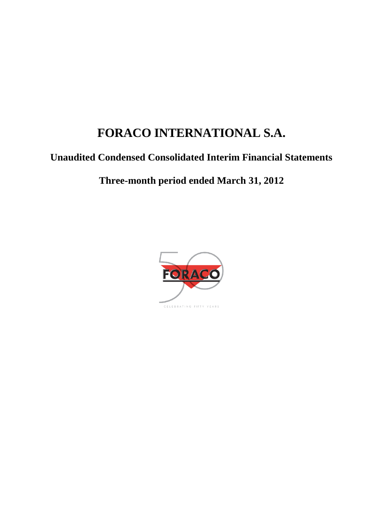# **FORACO INTERNATIONAL S.A.**

## **Unaudited Condensed Consolidated Interim Financial Statements**

## **Three-month period ended March 31, 2012**

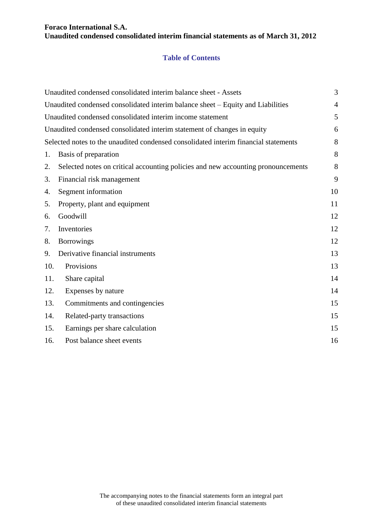## **Table of Contents**

|     | Unaudited condensed consolidated interim balance sheet - Assets                     | 3              |
|-----|-------------------------------------------------------------------------------------|----------------|
|     | Unaudited condensed consolidated interim balance sheet – Equity and Liabilities     | $\overline{4}$ |
|     | Unaudited condensed consolidated interim income statement                           | 5              |
|     | Unaudited condensed consolidated interim statement of changes in equity             | 6              |
|     | Selected notes to the unaudited condensed consolidated interim financial statements | 8              |
| 1.  | Basis of preparation                                                                | 8              |
| 2.  | Selected notes on critical accounting policies and new accounting pronouncements    | 8              |
| 3.  | Financial risk management                                                           | 9              |
| 4.  | Segment information                                                                 | 10             |
| 5.  | Property, plant and equipment                                                       | 11             |
| 6.  | Goodwill                                                                            | 12             |
| 7.  | Inventories                                                                         | 12             |
| 8.  | <b>Borrowings</b>                                                                   | 12             |
| 9.  | Derivative financial instruments                                                    | 13             |
| 10. | Provisions                                                                          | 13             |
| 11. | Share capital                                                                       | 14             |
| 12. | Expenses by nature                                                                  | 14             |
| 13. | Commitments and contingencies                                                       | 15             |
| 14. | Related-party transactions                                                          | 15             |
| 15. | Earnings per share calculation                                                      | 15             |
| 16. | Post balance sheet events                                                           | 16             |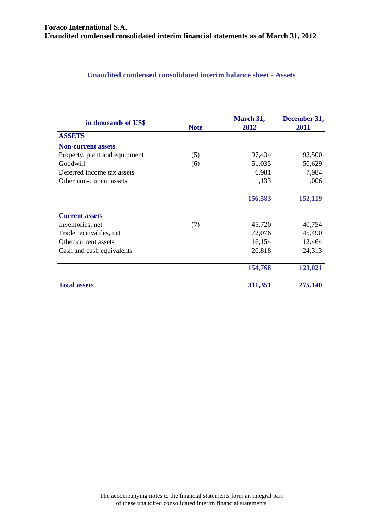## <span id="page-2-0"></span>**Unaudited condensed consolidated interim balance sheet - Assets**

| in thousands of US\$          | <b>Note</b> | March 31,<br>2012 | December 31,<br>2011 |
|-------------------------------|-------------|-------------------|----------------------|
| <b>ASSETS</b>                 |             |                   |                      |
| <b>Non-current assets</b>     |             |                   |                      |
| Property, plant and equipment | (5)         | 97,434            | 92,500               |
| Goodwill                      | (6)         | 51,035            | 50,629               |
| Deferred income tax assets    |             | 6,981             | 7,984                |
| Other non-current assets      |             | 1,133             | 1,006                |
|                               |             | 156,583           | 152,119              |
| <b>Current assets</b>         |             |                   |                      |
| Inventories, net              | (7)         | 45,720            | 40,754               |
| Trade receivables, net        |             | 72,076            | 45,490               |
| Other current assets          |             | 16,154            | 12,464               |
| Cash and cash equivalents     |             | 20,818            | 24,313               |
|                               |             | 154,768           | 123,021              |
| <b>Total assets</b>           |             | 311,351           | 275,140              |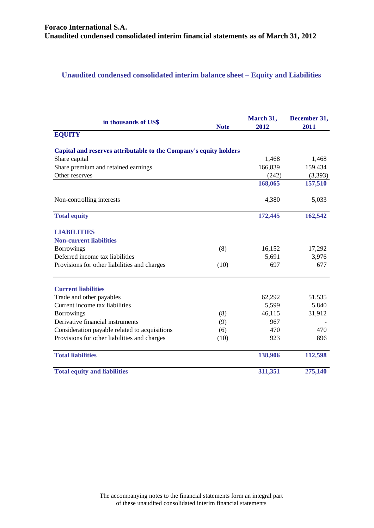## <span id="page-3-0"></span>**Unaudited condensed consolidated interim balance sheet – Equity and Liabilities**

| in thousands of US\$                                              | <b>Note</b> | March 31,<br>2012 | December 31,<br>2011 |
|-------------------------------------------------------------------|-------------|-------------------|----------------------|
| <b>EQUITY</b>                                                     |             |                   |                      |
| Capital and reserves attributable to the Company's equity holders |             |                   |                      |
| Share capital                                                     |             | 1,468             | 1,468                |
| Share premium and retained earnings                               |             | 166,839           | 159,434              |
| Other reserves                                                    |             | (242)             | (3,393)              |
|                                                                   |             | 168,065           | 157,510              |
| Non-controlling interests                                         |             | 4,380             | 5,033                |
| <b>Total equity</b>                                               |             | 172,445           | 162,542              |
| <b>LIABILITIES</b>                                                |             |                   |                      |
| <b>Non-current liabilities</b>                                    |             |                   |                      |
| <b>Borrowings</b>                                                 | (8)         | 16,152            | 17,292               |
| Deferred income tax liabilities                                   |             | 5,691             | 3,976                |
| Provisions for other liabilities and charges                      | (10)        | 697               | 677                  |
| <b>Current liabilities</b>                                        |             |                   |                      |
| Trade and other payables                                          |             | 62,292            | 51,535               |
| Current income tax liabilities                                    |             | 5,599             | 5,840                |
| <b>Borrowings</b>                                                 | (8)         | 46,115            | 31,912               |
| Derivative financial instruments                                  | (9)         | 967               |                      |
| Consideration payable related to acquisitions                     | (6)         | 470               | 470                  |
| Provisions for other liabilities and charges                      | (10)        | 923               | 896                  |
| <b>Total liabilities</b>                                          |             | 138,906           | 112,598              |
| <b>Total equity and liabilities</b>                               |             | 311,351           | 275,140              |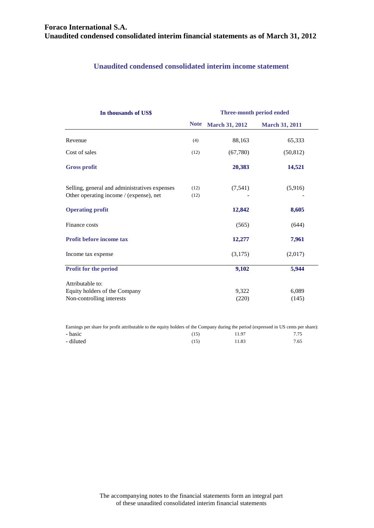## **Unaudited condensed consolidated interim income statement**

<span id="page-4-0"></span>

| In thousands of US\$                          |             |                       | Three-month period ended |  |  |
|-----------------------------------------------|-------------|-----------------------|--------------------------|--|--|
|                                               | <b>Note</b> | <b>March 31, 2012</b> | <b>March 31, 2011</b>    |  |  |
| Revenue                                       | (4)         | 88,163                | 65,333                   |  |  |
| Cost of sales                                 | (12)        | (67,780)              | (50, 812)                |  |  |
| <b>Gross profit</b>                           |             | 20,383                | 14,521                   |  |  |
| Selling, general and administratives expenses | (12)        | (7, 541)              | (5,916)                  |  |  |
| Other operating income / (expense), net       | (12)        |                       |                          |  |  |
| <b>Operating profit</b>                       |             | 12,842                | 8,605                    |  |  |
| Finance costs                                 |             | (565)                 | (644)                    |  |  |
| <b>Profit before income tax</b>               |             | 12,277                | 7,961                    |  |  |
| Income tax expense                            |             | (3,175)               | (2,017)                  |  |  |
| Profit for the period                         |             | 9,102                 | 5,944                    |  |  |
| Attributable to:                              |             |                       |                          |  |  |
| Equity holders of the Company                 |             | 9,322                 | 6,089                    |  |  |
| Non-controlling interests                     |             | (220)                 | (145)                    |  |  |

Earnings per share for profit attributable to the equity holders of the Company during the period (expressed in US cents per share):

<span id="page-4-1"></span>

| - basic   | (15) | 11.97 | 7.75 |
|-----------|------|-------|------|
| - diluted | (15) | 11.83 | 7.65 |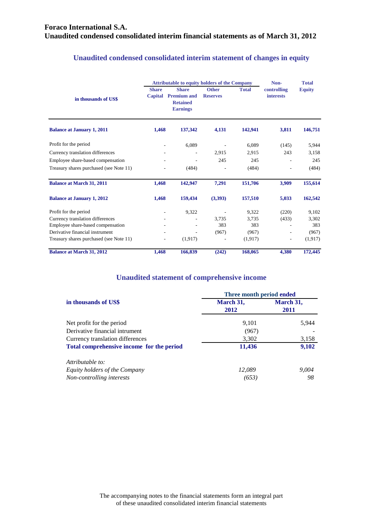|                                         | <b>Attributable to equity holders of the Company</b> |                                                                          |                                 |              | Non-                            | <b>Total</b>  |  |
|-----------------------------------------|------------------------------------------------------|--------------------------------------------------------------------------|---------------------------------|--------------|---------------------------------|---------------|--|
| in thousands of US\$                    | <b>Share</b><br>Capital                              | <b>Share</b><br><b>Premium and</b><br><b>Retained</b><br><b>Earnings</b> | <b>Other</b><br><b>Reserves</b> | <b>Total</b> | controlling<br><i>interests</i> | <b>Equity</b> |  |
| <b>Balance at January 1, 2011</b>       | 1,468                                                | 137,342                                                                  | 4,131                           | 142,941      | 3,811                           | 146,751       |  |
| Profit for the period                   |                                                      | 6,089                                                                    |                                 | 6,089        | (145)                           | 5,944         |  |
| Currency translation differences        |                                                      |                                                                          | 2,915                           | 2,915        | 243                             | 3,158         |  |
| Employee share-based compensation       |                                                      |                                                                          | 245                             | 245          |                                 | 245           |  |
| Treasury shares purchased (see Note 11) |                                                      | (484)                                                                    |                                 | (484)        |                                 | (484)         |  |
| <b>Balance at March 31, 2011</b>        | 1,468                                                | 142,947                                                                  | 7,291                           | 151,706      | 3,909                           | 155,614       |  |
| <b>Balance at January 1, 2012</b>       | 1,468                                                | 159,434                                                                  | (3,393)                         | 157,510      | 5,033                           | 162,542       |  |
| Profit for the period                   |                                                      | 9,322                                                                    |                                 | 9,322        | (220)                           | 9,102         |  |
| Currency translation differences        |                                                      |                                                                          | 3,735                           | 3.735        | (433)                           | 3,302         |  |
| Employee share-based compensation       |                                                      |                                                                          | 383                             | 383          |                                 | 383           |  |
| Derivative financial instrument         |                                                      |                                                                          | (967)                           | (967)        |                                 | (967)         |  |
| Treasury shares purchased (see Note 11) |                                                      | (1, 917)                                                                 |                                 | (1,917)      |                                 | (1,917)       |  |
| <b>Balance at March 31, 2012</b>        | 1,468                                                | 166,839                                                                  | (242)                           | 168,065      | 4.380                           | 172,445       |  |

## **Unaudited condensed consolidated interim statement of changes in equity**

#### **Unaudited statement of comprehensive income**

|                                           | Three month period ended |           |  |  |
|-------------------------------------------|--------------------------|-----------|--|--|
| in thousands of US\$                      | March 31,                | March 31, |  |  |
|                                           | 2012                     | 2011      |  |  |
| Net profit for the period                 | 9,101                    | 5,944     |  |  |
| Derivative financial intrument            | (967)                    |           |  |  |
| Currency translation differences          | 3,302                    | 3,158     |  |  |
| Total comprehensive income for the period | 11,436                   | 9,102     |  |  |
| Attributable to:                          |                          |           |  |  |
| Equity holders of the Company             | 12.089                   | 9,004     |  |  |
| Non-controlling interests                 | (653)                    | 98        |  |  |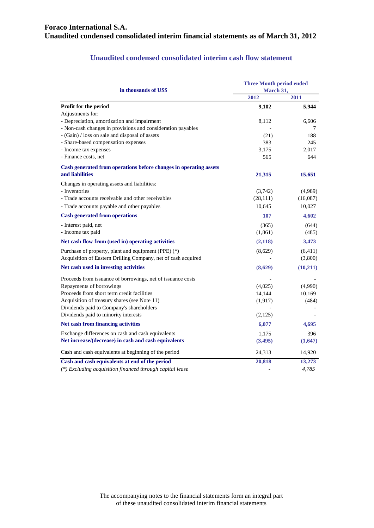#### **Unaudited condensed consolidated interim cash flow statement**

| in thousands of US\$                                              | <b>Three Month period ended</b><br>March 31, |          |  |
|-------------------------------------------------------------------|----------------------------------------------|----------|--|
|                                                                   | 2012                                         | 2011     |  |
| Profit for the period                                             | 9,102                                        | 5,944    |  |
| Adjustments for:                                                  |                                              |          |  |
| - Depreciation, amortization and impairment                       | 8,112                                        | 6,606    |  |
| - Non-cash changes in provisions and consideration payables       |                                              | 7        |  |
| - (Gain) / loss on sale and disposal of assets                    | (21)                                         | 188      |  |
| - Share-based compensation expenses                               | 383                                          | 245      |  |
| - Income tax expenses                                             | 3,175                                        | 2,017    |  |
| - Finance costs, net                                              | 565                                          | 644      |  |
| Cash generated from operations before changes in operating assets |                                              |          |  |
| and liabilities                                                   | 21,315                                       | 15,651   |  |
| Changes in operating assets and liabilities:                      |                                              |          |  |
| - Inventories                                                     | (3,742)                                      | (4,989)  |  |
| - Trade accounts receivable and other receivables                 | (28, 111)                                    | (16,087) |  |
| - Trade accounts payable and other payables                       | 10,645                                       | 10,027   |  |
| <b>Cash generated from operations</b>                             | 107                                          | 4,602    |  |
| - Interest paid, net                                              | (365)                                        | (644)    |  |
| - Income tax paid                                                 | (1, 861)                                     | (485)    |  |
| Net cash flow from (used in) operating activities                 | (2,118)                                      | 3,473    |  |
| Purchase of property, plant and equipment (PPE) (*)               | (8,629)                                      | (6,411)  |  |
| Acquisition of Eastern Drilling Company, net of cash acquired     |                                              | (3,800)  |  |
| Net cash used in investing activities                             | (8,629)                                      | (10,211) |  |
| Proceeds from issuance of borrowings, net of issuance costs       |                                              |          |  |
| Repayments of borrowings                                          | (4,025)                                      | (4,990)  |  |
| Proceeds from short term credit facilities                        | 14,144                                       | 10,169   |  |
| Acquisition of treasury shares (see Note 11)                      | (1,917)                                      | (484)    |  |
| Dividends paid to Company's shareholders                          |                                              |          |  |
| Dividends paid to minority interests                              | (2,125)                                      |          |  |
| Net cash from financing activities                                | 6,077                                        | 4,695    |  |
| Exchange differences on cash and cash equivalents                 | 1,175                                        | 396      |  |
| Net increase/(decrease) in cash and cash equivalents              | (3,495)                                      | (1,647)  |  |
| Cash and cash equivalents at beginning of the period              | 24,313                                       | 14,920   |  |
| Cash and cash equivalents at end of the period                    | 20,818                                       | 13,273   |  |
| (*) Excluding acquisition financed through capital lease          |                                              | 4,785    |  |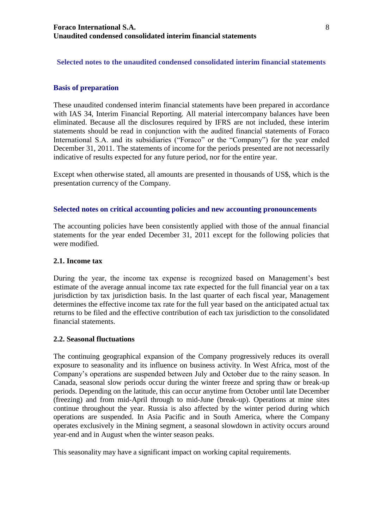## <span id="page-7-0"></span>**Selected notes to the unaudited condensed consolidated interim financial statements**

#### <span id="page-7-1"></span>**Basis of preparation**

These unaudited condensed interim financial statements have been prepared in accordance with IAS 34, Interim Financial Reporting. All material intercompany balances have been eliminated. Because all the disclosures required by IFRS are not included, these interim statements should be read in conjunction with the audited financial statements of Foraco International S.A. and its subsidiaries ("Foraco" or the "Company") for the year ended December 31, 2011. The statements of income for the periods presented are not necessarily indicative of results expected for any future period, nor for the entire year.

Except when otherwise stated, all amounts are presented in thousands of US\$, which is the presentation currency of the Company.

#### <span id="page-7-2"></span>**Selected notes on critical accounting policies and new accounting pronouncements**

The accounting policies have been consistently applied with those of the annual financial statements for the year ended December 31, 2011 except for the following policies that were modified.

#### **2.1. Income tax**

During the year, the income tax expense is recognized based on Management's best estimate of the average annual income tax rate expected for the full financial year on a tax jurisdiction by tax jurisdiction basis. In the last quarter of each fiscal year, Management determines the effective income tax rate for the full year based on the anticipated actual tax returns to be filed and the effective contribution of each tax jurisdiction to the consolidated financial statements.

#### **2.2. Seasonal fluctuations**

The continuing geographical expansion of the Company progressively reduces its overall exposure to seasonality and its influence on business activity. In West Africa, most of the Company's operations are suspended between July and October due to the rainy season. In Canada, seasonal slow periods occur during the winter freeze and spring thaw or break-up periods. Depending on the latitude, this can occur anytime from October until late December (freezing) and from mid-April through to mid-June (break-up). Operations at mine sites continue throughout the year. Russia is also affected by the winter period during which operations are suspended. In Asia Pacific and in South America, where the Company operates exclusively in the Mining segment, a seasonal slowdown in activity occurs around year-end and in August when the winter season peaks.

This seasonality may have a significant impact on working capital requirements.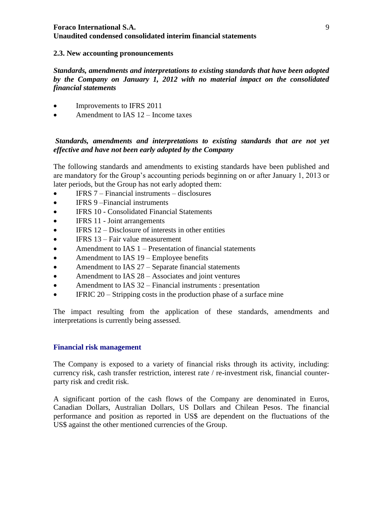#### **2.3. New accounting pronouncements**

*Standards, amendments and interpretations to existing standards that have been adopted by the Company on January 1, 2012 with no material impact on the consolidated financial statements*

- Improvements to IFRS 2011
- Amendment to IAS 12 Income taxes

## *Standards, amendments and interpretations to existing standards that are not yet effective and have not been early adopted by the Company*

The following standards and amendments to existing standards have been published and are mandatory for the Group's accounting periods beginning on or after January 1, 2013 or later periods, but the Group has not early adopted them:

- IFRS 7 Financial instruments disclosures
- IFRS 9-Financial instruments
- IFRS 10 Consolidated Financial Statements
- IFRS 11 Joint arrangements
- $\bullet$  IFRS 12 Disclosure of interests in other entities
- $\bullet$  IFRS 13 Fair value measurement
- Amendment to IAS 1 Presentation of financial statements
- Amendment to IAS 19 Employee benefits
- Amendment to IAS 27 Separate financial statements
- Amendment to IAS 28 Associates and joint ventures
- Amendment to IAS 32 Financial instruments : presentation
- IFRIC 20 Stripping costs in the production phase of a surface mine

The impact resulting from the application of these standards, amendments and interpretations is currently being assessed.

## <span id="page-8-0"></span>**Financial risk management**

The Company is exposed to a variety of financial risks through its activity, including: currency risk, cash transfer restriction, interest rate / re-investment risk, financial counterparty risk and credit risk.

A significant portion of the cash flows of the Company are denominated in Euros, Canadian Dollars, Australian Dollars, US Dollars and Chilean Pesos. The financial performance and position as reported in US\$ are dependent on the fluctuations of the US\$ against the other mentioned currencies of the Group.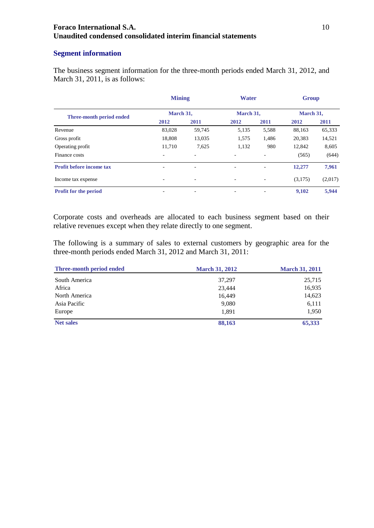#### <span id="page-9-0"></span>**Segment information**

The business segment information for the three-month periods ended March 31, 2012, and March 31, 2011, is as follows:

|                                 | <b>Mining</b>            |        | <b>Water</b>             |       | <b>Group</b> |         |
|---------------------------------|--------------------------|--------|--------------------------|-------|--------------|---------|
| Three-month period ended        | March 31,                |        | March 31,                |       | March 31,    |         |
|                                 | 2012                     | 2011   | 2012                     | 2011  | 2012         | 2011    |
| Revenue                         | 83,028                   | 59,745 | 5,135                    | 5,588 | 88,163       | 65,333  |
| Gross profit                    | 18,808                   | 13,035 | 1,575                    | 1,486 | 20,383       | 14,521  |
| Operating profit                | 11.710                   | 7,625  | 1,132                    | 980   | 12.842       | 8,605   |
| Finance costs                   | $\overline{\phantom{a}}$ |        | $\overline{\phantom{0}}$ |       | (565)        | (644)   |
| <b>Profit before income tax</b> | $\overline{\phantom{0}}$ | ÷      | $\overline{\phantom{0}}$ |       | 12,277       | 7,961   |
| Income tax expense              | $\overline{\phantom{a}}$ |        | ٠                        |       | (3,175)      | (2,017) |
| <b>Profit for the period</b>    | $\overline{\phantom{0}}$ | ۰      |                          |       | 9,102        | 5,944   |

Corporate costs and overheads are allocated to each business segment based on their relative revenues except when they relate directly to one segment.

The following is a summary of sales to external customers by geographic area for the three-month periods ended March 31, 2012 and March 31, 2011:

| Three-month period ended | <b>March 31, 2012</b> | <b>March 31, 2011</b> |
|--------------------------|-----------------------|-----------------------|
| South America            | 37,297                | 25,715                |
| Africa                   | 23,444                | 16,935                |
| North America            | 16,449                | 14,623                |
| Asia Pacific             | 9,080                 | 6,111                 |
| Europe                   | 1.891                 | 1,950                 |
| <b>Net sales</b>         | 88,163                | 65,333                |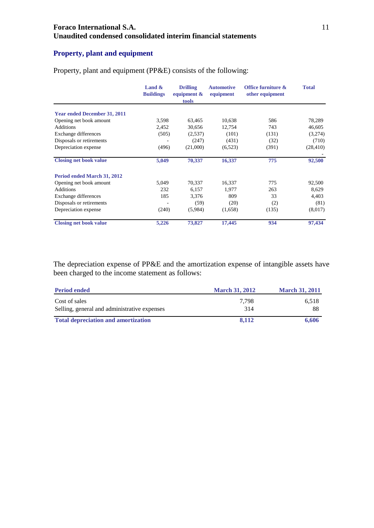## <span id="page-10-0"></span>**Property, plant and equipment**

|                                     | Land $\&$<br><b>Buildings</b> | <b>Drilling</b><br>equipment $\&$<br>tools | <b>Automotive</b><br>equipment | Office furniture &<br>other equipment | <b>Total</b> |
|-------------------------------------|-------------------------------|--------------------------------------------|--------------------------------|---------------------------------------|--------------|
| <b>Year ended December 31, 2011</b> |                               |                                            |                                |                                       |              |
| Opening net book amount             | 3,598                         | 63,465                                     | 10,638                         | 586                                   | 78,289       |
| <b>Additions</b>                    | 2,452                         | 30,656                                     | 12,754                         | 743                                   | 46,605       |
| Exchange differences                | (505)                         | (2,537)                                    | (101)                          | (131)                                 | (3,274)      |
| Disposals or retirements            |                               | (247)                                      | (431)                          | (32)                                  | (710)        |
| Depreciation expense                | (496)                         | (21,000)                                   | (6,523)                        | (391)                                 | (28, 410)    |
| <b>Closing net book value</b>       | 5,049                         | 70,337                                     | 16,337                         | 775                                   | 92,500       |
| Period ended March 31, 2012         |                               |                                            |                                |                                       |              |
| Opening net book amount             | 5,049                         | 70,337                                     | 16,337                         | 775                                   | 92,500       |
| <b>Additions</b>                    | 232                           | 6,157                                      | 1,977                          | 263                                   | 8,629        |
| Exchange differences                | 185                           | 3,376                                      | 809                            | 33                                    | 4,403        |
| Disposals or retirements            |                               | (59)                                       | (20)                           | (2)                                   | (81)         |
| Depreciation expense                | (240)                         | (5,984)                                    | (1,658)                        | (135)                                 | (8,017)      |
| <b>Closing net book value</b>       | 5,226                         | 73,827                                     | 17,445                         | 934                                   | 97,434       |

Property, plant and equipment (PP&E) consists of the following:

The depreciation expense of PP&E and the amortization expense of intangible assets have been charged to the income statement as follows:

| <b>Period ended</b>                          | <b>March 31, 2012</b> | <b>March 31, 2011</b> |
|----------------------------------------------|-----------------------|-----------------------|
| Cost of sales                                | 7.798                 | 6,518                 |
| Selling, general and administrative expenses | 314                   | 88                    |
| <b>Total depreciation and amortization</b>   | 8.112                 | 6,606                 |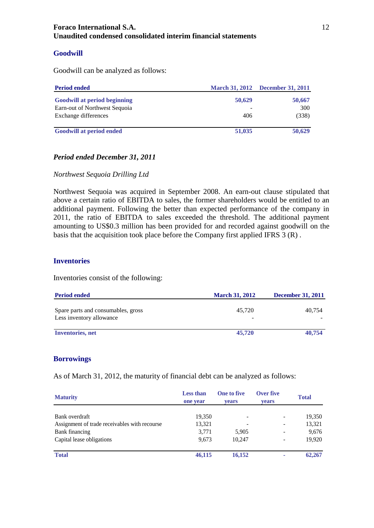#### <span id="page-11-0"></span>**Goodwill**

Goodwill can be analyzed as follows:

| <b>Period ended</b>                 |        | March 31, 2012 December 31, 2011 |
|-------------------------------------|--------|----------------------------------|
| <b>Goodwill at period beginning</b> | 50,629 | 50,667                           |
| Earn-out of Northwest Sequoia       |        | 300                              |
| Exchange differences                | 406    | (338)                            |
| <b>Goodwill at period ended</b>     | 51,035 | 50,629                           |

### *Period ended December 31, 2011*

*Northwest Sequoia Drilling Ltd*

Northwest Sequoia was acquired in September 2008. An earn-out clause stipulated that above a certain ratio of EBITDA to sales, the former shareholders would be entitled to an additional payment. Following the better than expected performance of the company in 2011, the ratio of EBITDA to sales exceeded the threshold. The additional payment amounting to US\$0.3 million has been provided for and recorded against goodwill on the basis that the acquisition took place before the Company first applied IFRS 3 (R) .

#### <span id="page-11-1"></span>**Inventories**

Inventories consist of the following:

| <b>Period ended</b>                                            | <b>March 31, 2012</b> | <b>December 31, 2011</b> |
|----------------------------------------------------------------|-----------------------|--------------------------|
| Spare parts and consumables, gross<br>Less inventory allowance | 45.720                | 40.754                   |
| <b>Inventories</b> , net                                       | 45,720                | 40,754                   |

#### <span id="page-11-2"></span>**Borrowings**

As of March 31, 2012, the maturity of financial debt can be analyzed as follows:

| <b>Maturity</b>                               | <b>Less than</b><br>one year | <b>One to five</b><br><b>vears</b> | Over five<br>vears | <b>Total</b> |
|-----------------------------------------------|------------------------------|------------------------------------|--------------------|--------------|
| Bank overdraft                                | 19,350                       | $\overline{\phantom{a}}$           |                    | 19,350       |
| Assignment of trade receivables with recourse | 13,321                       |                                    | ۰                  | 13,321       |
| Bank financing                                | 3,771                        | 5,905                              |                    | 9,676        |
| Capital lease obligations                     | 9,673                        | 10.247                             |                    | 19,920       |
| <b>Total</b>                                  | 46,115                       | 16,152                             | ۰                  | 62,267       |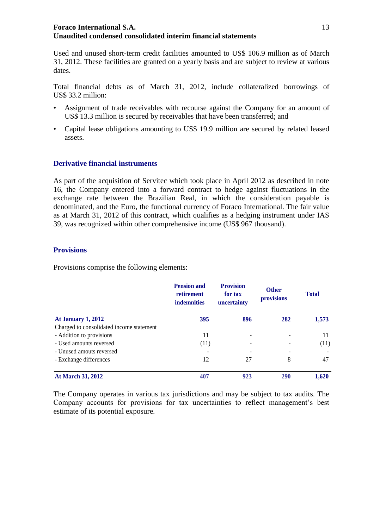Used and unused short-term credit facilities amounted to US\$ 106.9 million as of March 31, 2012. These facilities are granted on a yearly basis and are subject to review at various dates.

Total financial debts as of March 31, 2012, include collateralized borrowings of US\$ 33.2 million:

- Assignment of trade receivables with recourse against the Company for an amount of US\$ 13.3 million is secured by receivables that have been transferred; and
- Capital lease obligations amounting to US\$ 19.9 million are secured by related leased assets.

## <span id="page-12-0"></span>**Derivative financial instruments**

As part of the acquisition of Servitec which took place in April 2012 as described in note 16, the Company entered into a forward contract to hedge against fluctuations in the exchange rate between the Brazilian Real, in which the consideration payable is denominated, and the Euro, the functional currency of Foraco International. The fair value as at March 31, 2012 of this contract, which qualifies as a hedging instrument under IAS 39, was recognized within other comprehensive income (US\$ 967 thousand).

#### <span id="page-12-1"></span>**Provisions**

Provisions comprise the following elements:

|                                          | <b>Pension and</b><br>retirement<br><b>indemnities</b> | <b>Provision</b><br>for tax<br>uncertainty | <b>Other</b><br>provisions | <b>Total</b> |
|------------------------------------------|--------------------------------------------------------|--------------------------------------------|----------------------------|--------------|
| <b>At January 1, 2012</b>                | 395                                                    | 896                                        | 282                        | 1,573        |
| Charged to consolidated income statement |                                                        |                                            |                            |              |
| - Addition to provisions                 | 11                                                     |                                            |                            | 11           |
| - Used amounts reversed                  | (11)                                                   |                                            |                            | (11)         |
| - Unused amouts reversed                 |                                                        |                                            |                            |              |
| - Exchange differences                   | 12                                                     | 27                                         | 8                          | 47           |
| <b>At March 31, 2012</b>                 | 407                                                    | 923                                        | <b>290</b>                 | 1.620        |

The Company operates in various tax jurisdictions and may be subject to tax audits. The Company accounts for provisions for tax uncertainties to reflect management's best estimate of its potential exposure.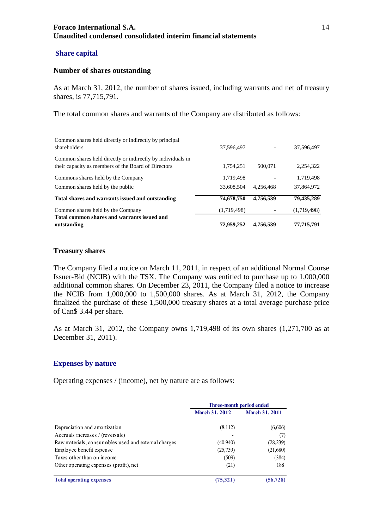#### <span id="page-13-0"></span>**Share capital**

#### **Number of shares outstanding**

As at March 31, 2012, the number of shares issued, including warrants and net of treasury shares, is 77,715,791.

The total common shares and warrants of the Company are distributed as follows:

| Total common shares and warrants issued and<br>outstanding                                                         | 72,959,252  | 4,756,539 | 77,715,791  |
|--------------------------------------------------------------------------------------------------------------------|-------------|-----------|-------------|
| Common shares held by the Company                                                                                  | (1,719,498) |           | (1,719,498) |
| Total shares and warrants issued and outstanding                                                                   | 74,678,750  | 4,756,539 | 79,435,289  |
| Common shares held by the public                                                                                   | 33,608,504  | 4.256.468 | 37,864,972  |
| Commons shares held by the Company                                                                                 | 1,719,498   |           | 1,719,498   |
| Common shares held directly or indirectly by individuals in<br>their capacity as members of the Board of Directors | 1,754,251   | 500,071   | 2,254,322   |
| Common shares held directly or indirectly by principal<br>shareholders                                             | 37.596.497  |           | 37.596.497  |

#### **Treasury shares**

The Company filed a notice on March 11, 2011, in respect of an additional Normal Course Issuer-Bid (NCIB) with the TSX. The Company was entitled to purchase up to 1,000,000 additional common shares. On December 23, 2011, the Company filed a notice to increase the NCIB from 1,000,000 to 1,500,000 shares. As at March 31, 2012, the Company finalized the purchase of these 1,500,000 treasury shares at a total average purchase price of Can\$ 3.44 per share.

As at March 31, 2012, the Company owns 1,719,498 of its own shares (1,271,700 as at December 31, 2011).

#### <span id="page-13-1"></span>**Expenses by nature**

Operating expenses / (income), net by nature are as follows:

|                                                      | Three-month period ended |                       |
|------------------------------------------------------|--------------------------|-----------------------|
|                                                      | <b>March 31, 2012</b>    | <b>March 31, 2011</b> |
|                                                      |                          |                       |
| Depreciation and amortization                        | (8,112)                  | (6,606)               |
| Accruals increases / (reversals)                     |                          | (7)                   |
| Raw materials, consumables used and external charges | (40,940)                 | (28, 239)             |
| Employee benefit expense                             | (25,739)                 | (21,680)              |
| Taxes other than on income                           | (509)                    | (384)                 |
| Other operating expenses (profit), net               | (21)                     | 188                   |
| <b>Total operating expenses</b>                      | (75,321)                 | (56, 728)             |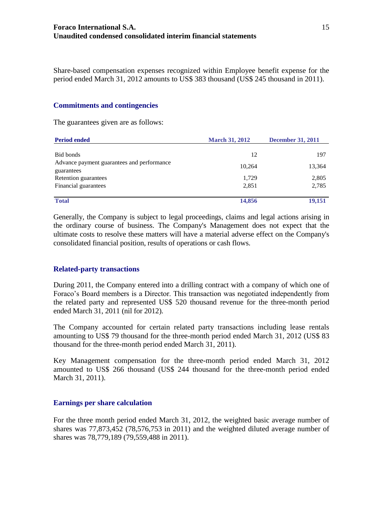Share-based compensation expenses recognized within Employee benefit expense for the period ended March 31, 2012 amounts to US\$ 383 thousand (US\$ 245 thousand in 2011).

#### <span id="page-14-0"></span>**Commitments and contingencies**

The guarantees given are as follows:

| <b>Period ended</b>                                      | <b>March 31, 2012</b> | <b>December 31, 2011</b> |  |
|----------------------------------------------------------|-----------------------|--------------------------|--|
| Bid bonds                                                | 12                    | 197                      |  |
| Advance payment guarantees and performance<br>guarantees | 10.264                | 13,364                   |  |
| Retention guarantees<br>Financial guarantees             | 1,729<br>2,851        | 2,805<br>2,785           |  |
| <b>Total</b>                                             | 14,856                | 19,151                   |  |

Generally, the Company is subject to legal proceedings, claims and legal actions arising in the ordinary course of business. The Company's Management does not expect that the ultimate costs to resolve these matters will have a material adverse effect on the Company's consolidated financial position, results of operations or cash flows.

#### <span id="page-14-1"></span>**Related-party transactions**

During 2011, the Company entered into a drilling contract with a company of which one of Foraco's Board members is a Director. This transaction was negotiated independently from the related party and represented US\$ 520 thousand revenue for the three-month period ended March 31, 2011 (nil for 2012).

The Company accounted for certain related party transactions including lease rentals amounting to US\$ 79 thousand for the three-month period ended March 31, 2012 (US\$ 83 thousand for the three-month period ended March 31, 2011).

Key Management compensation for the three-month period ended March 31, 2012 amounted to US\$ 266 thousand (US\$ 244 thousand for the three-month period ended March 31, 2011).

#### <span id="page-14-2"></span>**Earnings per share calculation**

For the three month period ended March 31, 2012, the weighted basic average number of shares was 77,873,452 (78,576,753 in 2011) and the weighted diluted average number of shares was 78,779,189 (79,559,488 in 2011).